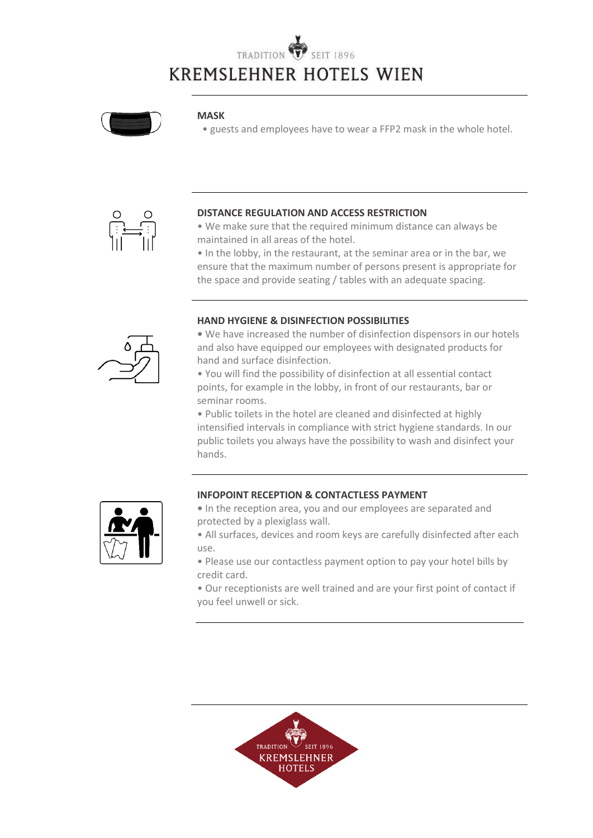## TRADITION **KREMSLEHNER HOTELS WIEN**



#### **MASK**

• guests and employees have to wear a FFP2 mask in the whole hotel.



#### **DISTANCE REGULATION AND ACCESS RESTRICTION**

• We make sure that the required minimum distance can always be maintained in all areas of the hotel.

• In the lobby, in the restaurant, at the seminar area or in the bar, we ensure that the maximum number of persons present is appropriate for the space and provide seating / tables with an adequate spacing.

#### **HAND HYGIENE & DISINFECTION POSSIBILITIES**

**•** We have increased the number of disinfection dispensors in our hotels and also have equipped our employees with designated products for hand and surface disinfection.

• You will find the possibility of disinfection at all essential contact points, for example in the lobby, in front of our restaurants, bar or seminar rooms.

• Public toilets in the hotel are cleaned and disinfected at highly intensified intervals in compliance with strict hygiene standards. In our public toilets you always have the possibility to wash and disinfect your hands.



#### **INFOPOINT RECEPTION & CONTACTLESS PAYMENT**

- In the reception area, you and our employees are separated and protected by a plexiglass wall.
- All surfaces, devices and room keys are carefully disinfected after each use.
- Please use our contactless payment option to pay your hotel bills by credit card.
- Our receptionists are well trained and are your first point of contact if you feel unwell or sick.



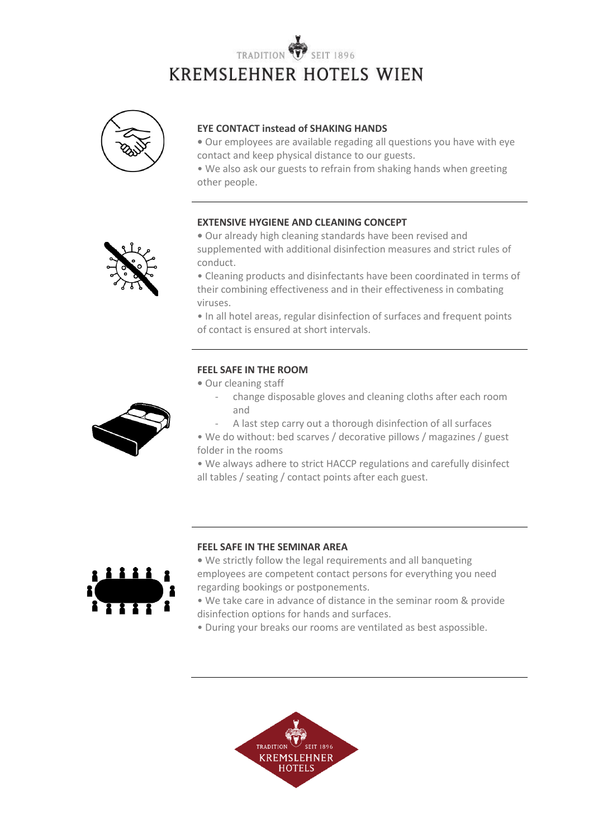# TRADITION **KREMSLEHNER HOTELS WIEN**



#### **EYE CONTACT instead of SHAKING HANDS**

**•** Our employees are available regading all questions you have with eye contact and keep physical distance to our guests.

• We also ask our guests to refrain from shaking hands when greeting other people.

#### **EXTENSIVE HYGIENE AND CLEANING CONCEPT**



**•** Our already high cleaning standards have been revised and supplemented with additional disinfection measures and strict rules of conduct.

• Cleaning products and disinfectants have been coordinated in terms of their combining effectiveness and in their effectiveness in combating viruses.

• In all hotel areas, regular disinfection of surfaces and frequent points of contact is ensured at short intervals.

#### **FEEL SAFE IN THE ROOM**

**•** Our cleaning staff

- change disposable gloves and cleaning cloths after each room and
- A last step carry out a thorough disinfection of all surfaces
- We do without: bed scarves / decorative pillows / magazines / guest folder in the rooms

• We always adhere to strict HACCP regulations and carefully disinfect all tables / seating / contact points after each guest.



#### **FEEL SAFE IN THE SEMINAR AREA**

**•** We strictly follow the legal requirements and all banqueting employees are competent contact persons for everything you need regarding bookings or postponements.

• We take care in advance of distance in the seminar room & provide disinfection options for hands and surfaces.

• During your breaks our rooms are ventilated as best aspossible.